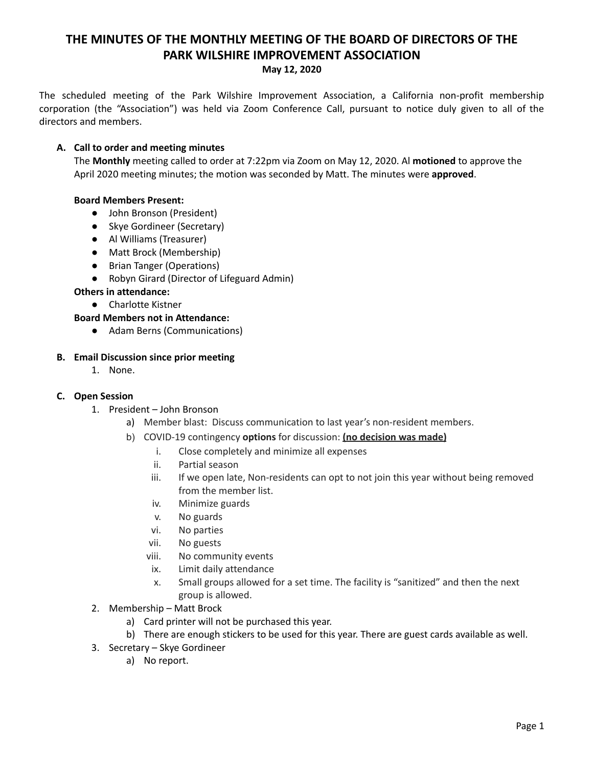# **THE MINUTES OF THE MONTHLY MEETING OF THE BOARD OF DIRECTORS OF THE PARK WILSHIRE IMPROVEMENT ASSOCIATION**

#### **May 12, 2020**

The scheduled meeting of the Park Wilshire Improvement Association, a California non-profit membership corporation (the "Association") was held via Zoom Conference Call, pursuant to notice duly given to all of the directors and members.

#### **A. Call to order and meeting minutes**

The **Monthly** meeting called to order at 7:22pm via Zoom on May 12, 2020. Al **motioned** to approve the April 2020 meeting minutes; the motion was seconded by Matt. The minutes were **approved**.

## **Board Members Present:**

- John Bronson (President)
- Skye Gordineer (Secretary)
- **●** Al Williams (Treasurer)
- Matt Brock (Membership)
- Brian Tanger (Operations)
- Robyn Girard (Director of Lifeguard Admin)

## **Others in attendance:**

● Charlotte Kistner

## **Board Members not in Attendance:**

● Adam Berns (Communications)

## **B. Email Discussion since prior meeting**

1. None.

#### **C. Open Session**

- 1. President John Bronson
	- a) Member blast: Discuss communication to last year's non-resident members.
	- b) COVID-19 contingency **options** for discussion: **(no decision was made)**
		- i. Close completely and minimize all expenses
		- ii. Partial season
		- iii. If we open late, Non-residents can opt to not join this year without being removed from the member list.
		- iv. Minimize guards
		- v. No guards
		- vi. No parties
		- vii. No guests
		- viii. No community events
		- ix. Limit daily attendance
		- x. Small groups allowed for a set time. The facility is "sanitized" and then the next group is allowed.
- 2. Membership Matt Brock
	- a) Card printer will not be purchased this year.
	- b) There are enough stickers to be used for this year. There are guest cards available as well.
- 3. Secretary Skye Gordineer
	- a) No report.